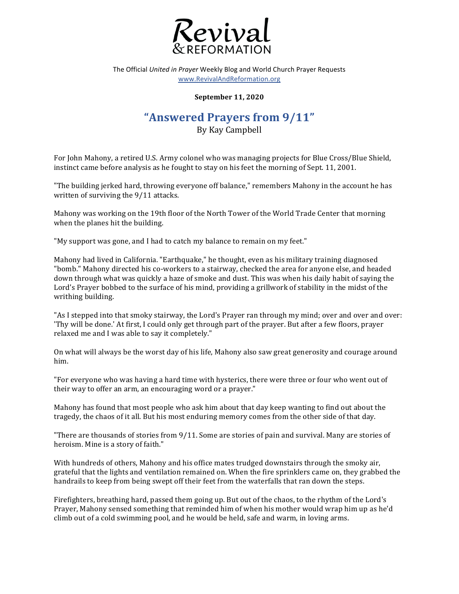

The Official United in Prayer Weekly Blog and World Church Prayer Requests www.RevivalAndReformation.org

## **September 11, 2020**

## **"Answered Prayers from 9/11"**

By Kay Campbell

For John Mahony, a retired U.S. Army colonel who was managing projects for Blue Cross/Blue Shield, instinct came before analysis as he fought to stay on his feet the morning of Sept. 11, 2001.

"The building jerked hard, throwing everyone off balance," remembers Mahony in the account he has written of surviving the  $9/11$  attacks.

Mahony was working on the 19th floor of the North Tower of the World Trade Center that morning when the planes hit the building.

"My support was gone, and I had to catch my balance to remain on my feet."

Mahony had lived in California. "Earthquake," he thought, even as his military training diagnosed "bomb." Mahony directed his co-workers to a stairway, checked the area for anyone else, and headed down through what was quickly a haze of smoke and dust. This was when his daily habit of saying the Lord's Prayer bobbed to the surface of his mind, providing a grillwork of stability in the midst of the writhing building.

"As I stepped into that smoky stairway, the Lord's Prayer ran through my mind; over and over and over: 'Thy will be done.' At first, I could only get through part of the prayer. But after a few floors, prayer relaxed me and I was able to say it completely."

On what will always be the worst day of his life, Mahony also saw great generosity and courage around him.

"For everyone who was having a hard time with hysterics, there were three or four who went out of their way to offer an arm, an encouraging word or a prayer."

Mahony has found that most people who ask him about that day keep wanting to find out about the tragedy, the chaos of it all. But his most enduring memory comes from the other side of that day.

"There are thousands of stories from  $9/11$ . Some are stories of pain and survival. Many are stories of heroism. Mine is a story of faith."

With hundreds of others, Mahony and his office mates trudged downstairs through the smoky air, grateful that the lights and ventilation remained on. When the fire sprinklers came on, they grabbed the handrails to keep from being swept off their feet from the waterfalls that ran down the steps.

Firefighters, breathing hard, passed them going up. But out of the chaos, to the rhythm of the Lord's Prayer, Mahony sensed something that reminded him of when his mother would wrap him up as he'd climb out of a cold swimming pool, and he would be held, safe and warm, in loving arms.